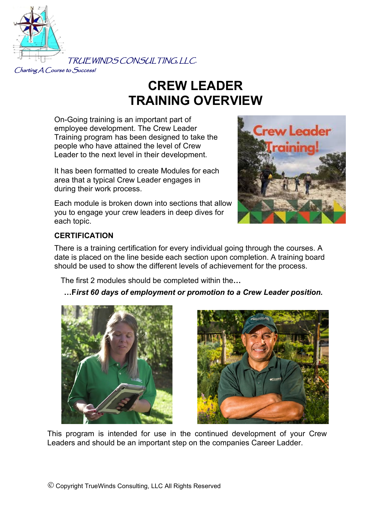

# **CREW LEADER TRAINING OVERVIEW**

On-Going training is an important part of employee development. The Crew Leader Training program has been designed to take the people who have attained the level of Crew Leader to the next level in their development.

It has been formatted to create Modules for each area that a typical Crew Leader engages in during their work process.

Each module is broken down into sections that allow you to engage your crew leaders in deep dives for each topic.



#### **CERTIFICATION**

There is a training certification for every individual going through the courses. A date is placed on the line beside each section upon completion. A training board should be used to show the different levels of achievement for the process.

The first 2 modules should be completed within the**…**

#### **…F***irst 60 days of employment or promotion to a Crew Leader position.*





This program is intended for use in the continued development of your Crew Leaders and should be an important step on the companies Career Ladder.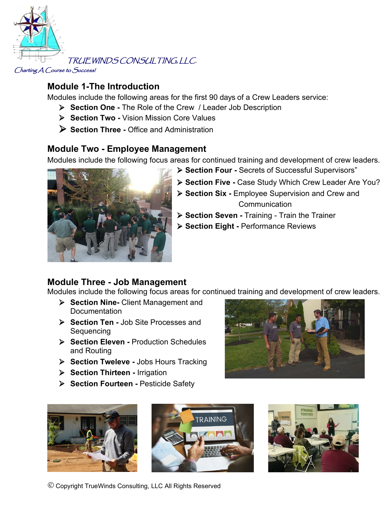

### **Module 1-The Introduction**

Modules include the following areas for the first 90 days of a Crew Leaders service:

- **Section One -** The Role of the Crew / Leader Job Description
- **Section Two -** Vision Mission Core Values
- **Section Three -** Office and Administration

#### **Module Two - Employee Management**

Modules include the following focus areas for continued training and development of crew leaders.



- **Section Five -** Case Study Which Crew Leader Are You?
- **Section Six -** Employee Supervision and Crew and Communication
- **Section Seven -** Training Train the Trainer
- **Section Eight -** Performance Reviews

### **Module Three - Job Management**

Modules include the following focus areas for continued training and development of crew leaders.

- **Section Nine-** Client Management and Documentation
- **Section Ten -** Job Site Processes and Sequencing
- **Section Eleven -** Production Schedules and Routing
- **Section Tweleve -** Jobs Hours Tracking
- **Section Thirteen -** Irrigation
- **Section Fourteen -** Pesticide Safety